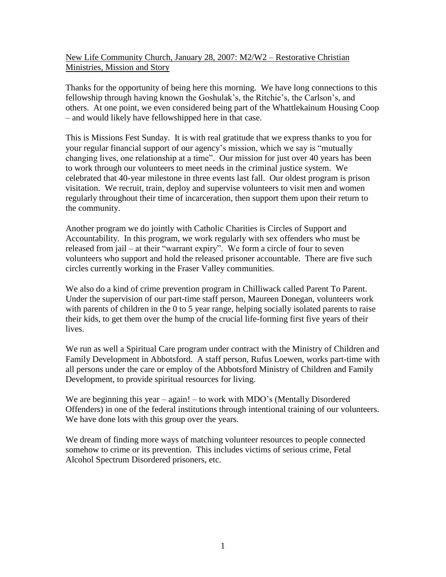New Life Community Church, January 28, 2007: M2/W2 – Restorative Christian Ministries, Mission and Story

Thanks for the opportunity of being here this morning. We have long connections to this fellowship through having known the Goshulak's, the Ritchie's, the Carlson's, and others. At one point, we even considered being part of the Whattlekainum Housing Coop – and would likely have fellowshipped here in that case.

This is Missions Fest Sunday. It is with real gratitude that we express thanks to you for your regular financial support of our agency's mission, which we say is "mutually changing lives, one relationship at a time". Our mission for just over 40 years has been to work through our volunteers to meet needs in the criminal justice system. We celebrated that 40-year milestone in three events last fall. Our oldest program is prison visitation. We recruit, train, deploy and supervise volunteers to visit men and women regularly throughout their time of incarceration, then support them upon their return to the community.

Another program we do jointly with Catholic Charities is Circles of Support and Accountability. In this program, we work regularly with sex offenders who must be released from jail – at their "warrant expiry". We form a circle of four to seven volunteers who support and hold the released prisoner accountable. There are five such circles currently working in the Fraser Valley communities.

We also do a kind of crime prevention program in Chilliwack called Parent To Parent. Under the supervision of our part-time staff person, Maureen Donegan, volunteers work with parents of children in the 0 to 5 year range, helping socially isolated parents to raise their kids, to get them over the hump of the crucial life-forming first five years of their lives.

We run as well a Spiritual Care program under contract with the Ministry of Children and Family Development in Abbotsford. A staff person, Rufus Loewen, works part-time with all persons under the care or employ of the Abbotsford Ministry of Children and Family Development, to provide spiritual resources for living.

We are beginning this year – again! – to work with MDO's (Mentally Disordered Offenders) in one of the federal institutions through intentional training of our volunteers. We have done lots with this group over the years.

We dream of finding more ways of matching volunteer resources to people connected somehow to crime or its prevention. This includes victims of serious crime, Fetal Alcohol Spectrum Disordered prisoners, etc.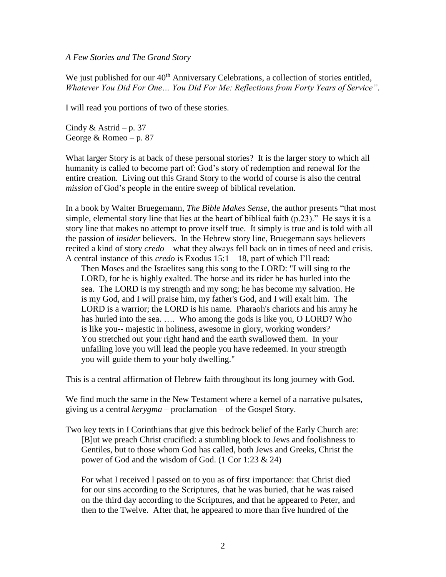#### *A Few Stories and The Grand Story*

We just published for our 40<sup>th</sup> Anniversary Celebrations, a collection of stories entitled, *Whatever You Did For One… You Did For Me: Reflections from Forty Years of Service"*.

I will read you portions of two of these stories.

Cindy & Astrid – p. 37 George & Romeo – p. 87

What larger Story is at back of these personal stories? It is the larger story to which all humanity is called to become part of: God's story of redemption and renewal for the entire creation. Living out this Grand Story to the world of course is also the central *mission* of God's people in the entire sweep of biblical revelation.

In a book by Walter Bruegemann, *The Bible Makes Sense*, the author presents "that most simple, elemental story line that lies at the heart of biblical faith (p.23)." He says it is a story line that makes no attempt to prove itself true. It simply is true and is told with all the passion of *insider* believers. In the Hebrew story line, Bruegemann says believers recited a kind of story *credo* – what they always fell back on in times of need and crisis. A central instance of this *credo* is Exodus 15:1 – 18, part of which I'll read:

Then Moses and the Israelites sang this song to the LORD: "I will sing to the LORD, for he is highly exalted. The horse and its rider he has hurled into the sea. The LORD is my strength and my song; he has become my salvation. He is my God, and I will praise him, my father's God, and I will exalt him. The LORD is a warrior; the LORD is his name. Pharaoh's chariots and his army he has hurled into the sea. …. Who among the gods is like you, O LORD? Who is like you-- majestic in holiness, awesome in glory, working wonders? You stretched out your right hand and the earth swallowed them. In your unfailing love you will lead the people you have redeemed. In your strength you will guide them to your holy dwelling."

This is a central affirmation of Hebrew faith throughout its long journey with God.

We find much the same in the New Testament where a kernel of a narrative pulsates, giving us a central *kerygma –* proclamation – of the Gospel Story.

Two key texts in I Corinthians that give this bedrock belief of the Early Church are: [B]ut we preach Christ crucified: a stumbling block to Jews and foolishness to Gentiles, but to those whom God has called, both Jews and Greeks, Christ the power of God and the wisdom of God. (1 Cor 1:23 & 24)

For what I received I passed on to you as of first importance: that Christ died for our sins according to the Scriptures, that he was buried, that he was raised on the third day according to the Scriptures, and that he appeared to Peter, and then to the Twelve. After that, he appeared to more than five hundred of the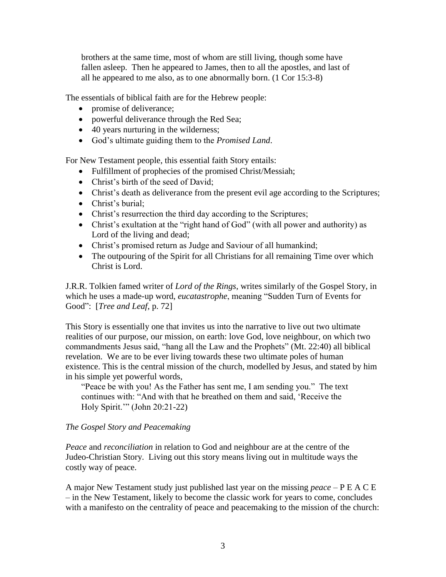brothers at the same time, most of whom are still living, though some have fallen asleep. Then he appeared to James, then to all the apostles, and last of all he appeared to me also, as to one abnormally born. (1 Cor 15:3-8)

The essentials of biblical faith are for the Hebrew people:

- promise of deliverance;
- powerful deliverance through the Red Sea;
- 40 years nurturing in the wilderness;
- God's ultimate guiding them to the *Promised Land*.

For New Testament people, this essential faith Story entails:

- Fulfillment of prophecies of the promised Christ/Messiah;
- Christ's birth of the seed of David;
- Christ's death as deliverance from the present evil age according to the Scriptures;
- Christ's burial;
- Christ's resurrection the third day according to the Scriptures;
- Christ's exultation at the "right hand of God" (with all power and authority) as Lord of the living and dead;
- Christ's promised return as Judge and Saviour of all humankind;
- The outpouring of the Spirit for all Christians for all remaining Time over which Christ is Lord.

J.R.R. Tolkien famed writer of *Lord of the Rings*, writes similarly of the Gospel Story, in which he uses a made-up word, *eucatastrophe*, meaning "Sudden Turn of Events for Good": [*Tree and Leaf*, p. 72]

This Story is essentially one that invites us into the narrative to live out two ultimate realities of our purpose, our mission, on earth: love God, love neighbour, on which two commandments Jesus said, "hang all the Law and the Prophets" (Mt. 22:40) all biblical revelation. We are to be ever living towards these two ultimate poles of human existence. This is the central mission of the church, modelled by Jesus, and stated by him in his simple yet powerful words,

"Peace be with you! As the Father has sent me, I am sending you." The text continues with: "And with that he breathed on them and said, 'Receive the Holy Spirit.'" (John 20:21-22)

### *The Gospel Story and Peacemaking*

*Peace* and *reconciliation* in relation to God and neighbour are at the centre of the Judeo-Christian Story. Living out this story means living out in multitude ways the costly way of peace.

A major New Testament study just published last year on the missing *peace* – P E A C E – in the New Testament, likely to become the classic work for years to come, concludes with a manifesto on the centrality of peace and peacemaking to the mission of the church: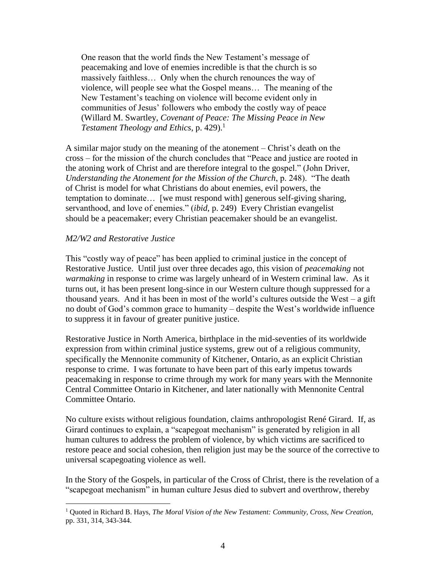One reason that the world finds the New Testament's message of peacemaking and love of enemies incredible is that the church is so massively faithless… Only when the church renounces the way of violence, will people see what the Gospel means… The meaning of the New Testament's teaching on violence will become evident only in communities of Jesus' followers who embody the costly way of peace (Willard M. Swartley, *Covenant of Peace: The Missing Peace in New Testament Theology and Ethics*, p. 429).<sup>1</sup>

A similar major study on the meaning of the atonement – Christ's death on the cross – for the mission of the church concludes that "Peace and justice are rooted in the atoning work of Christ and are therefore integral to the gospel." (John Driver, *Understanding the Atonement for the Mission of the Church*, p. 248). "The death of Christ is model for what Christians do about enemies, evil powers, the temptation to dominate… [we must respond with] generous self-giving sharing, servanthood, and love of enemies." (*ibid*, p. 249) Every Christian evangelist should be a peacemaker; every Christian peacemaker should be an evangelist.

### *M2/W2 and Restorative Justice*

 $\overline{a}$ 

This "costly way of peace" has been applied to criminal justice in the concept of Restorative Justice. Until just over three decades ago, this vision of *peacemaking* not *warmaking* in response to crime was largely unheard of in Western criminal law. As it turns out, it has been present long-since in our Western culture though suppressed for a thousand years. And it has been in most of the world's cultures outside the West – a gift no doubt of God's common grace to humanity – despite the West's worldwide influence to suppress it in favour of greater punitive justice.

Restorative Justice in North America, birthplace in the mid-seventies of its worldwide expression from within criminal justice systems, grew out of a religious community, specifically the Mennonite community of Kitchener, Ontario, as an explicit Christian response to crime. I was fortunate to have been part of this early impetus towards peacemaking in response to crime through my work for many years with the Mennonite Central Committee Ontario in Kitchener, and later nationally with Mennonite Central Committee Ontario.

No culture exists without religious foundation, claims anthropologist René Girard. If, as Girard continues to explain, a "scapegoat mechanism" is generated by religion in all human cultures to address the problem of violence, by which victims are sacrificed to restore peace and social cohesion, then religion just may be the source of the corrective to universal scapegoating violence as well.

In the Story of the Gospels, in particular of the Cross of Christ, there is the revelation of a "scapegoat mechanism" in human culture Jesus died to subvert and overthrow, thereby

<sup>1</sup> Quoted in Richard B. Hays, *The Moral Vision of the New Testament: Community, Cross, New Creation*, pp. 331, 314, 343-344.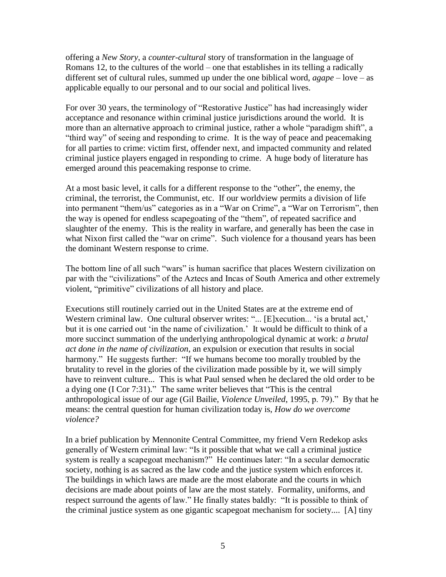offering a *New Story*, a *counter-cultural* story of transformation in the language of Romans 12, to the cultures of the world – one that establishes in its telling a radically different set of cultural rules, summed up under the one biblical word, *agape* – love – as applicable equally to our personal and to our social and political lives.

For over 30 years, the terminology of "Restorative Justice" has had increasingly wider acceptance and resonance within criminal justice jurisdictions around the world. It is more than an alternative approach to criminal justice, rather a whole "paradigm shift", a "third way" of seeing and responding to crime. It is the way of peace and peacemaking for all parties to crime: victim first, offender next, and impacted community and related criminal justice players engaged in responding to crime. A huge body of literature has emerged around this peacemaking response to crime.

At a most basic level, it calls for a different response to the "other", the enemy, the criminal, the terrorist, the Communist, etc. If our worldview permits a division of life into permanent "them/us" categories as in a "War on Crime", a "War on Terrorism", then the way is opened for endless scapegoating of the "them", of repeated sacrifice and slaughter of the enemy. This is the reality in warfare, and generally has been the case in what Nixon first called the "war on crime". Such violence for a thousand years has been the dominant Western response to crime.

The bottom line of all such "wars" is human sacrifice that places Western civilization on par with the "civilizations" of the Aztecs and Incas of South America and other extremely violent, "primitive" civilizations of all history and place.

Executions still routinely carried out in the United States are at the extreme end of Western criminal law. One cultural observer writes: "... [E]xecution... 'is a brutal act,' but it is one carried out 'in the name of civilization.' It would be difficult to think of a more succinct summation of the underlying anthropological dynamic at work: *a brutal act done in the name of civilization*, an expulsion or execution that results in social harmony." He suggests further: "If we humans become too morally troubled by the brutality to revel in the glories of the civilization made possible by it, we will simply have to reinvent culture... This is what Paul sensed when he declared the old order to be a dying one (I Cor 7:31)." The same writer believes that "This is the central anthropological issue of our age (Gil Bailie, *Violence Unveiled*, 1995, p. 79)." By that he means: the central question for human civilization today is, *How do we overcome violence?*

In a brief publication by Mennonite Central Committee, my friend Vern Redekop asks generally of Western criminal law: "Is it possible that what we call a criminal justice system is really a scapegoat mechanism?" He continues later: "In a secular democratic society, nothing is as sacred as the law code and the justice system which enforces it. The buildings in which laws are made are the most elaborate and the courts in which decisions are made about points of law are the most stately. Formality, uniforms, and respect surround the agents of law." He finally states baldly: "It is possible to think of the criminal justice system as one gigantic scapegoat mechanism for society.... [A] tiny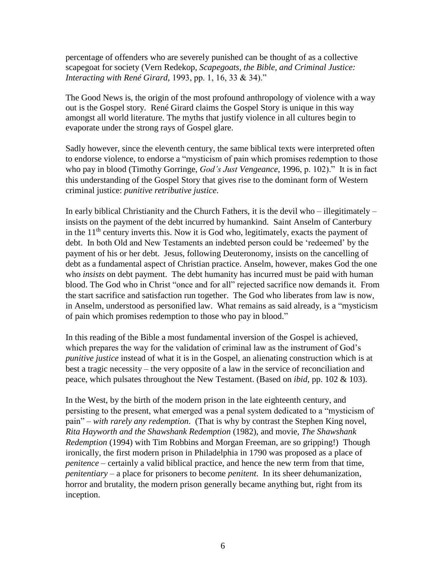percentage of offenders who are severely punished can be thought of as a collective scapegoat for society (Vern Redekop, *Scapegoats, the Bible, and Criminal Justice: Interacting with René Girard*, 1993, pp. 1, 16, 33 & 34)."

The Good News is, the origin of the most profound anthropology of violence with a way out is the Gospel story. René Girard claims the Gospel Story is unique in this way amongst all world literature. The myths that justify violence in all cultures begin to evaporate under the strong rays of Gospel glare.

Sadly however, since the eleventh century, the same biblical texts were interpreted often to endorse violence, to endorse a "mysticism of pain which promises redemption to those who pay in blood (Timothy Gorringe, *God's Just Vengeance*, 1996, p. 102)." It is in fact this understanding of the Gospel Story that gives rise to the dominant form of Western criminal justice: *punitive retributive justice*.

In early biblical Christianity and the Church Fathers, it is the devil who  $-$  illegitimately  $$ insists on the payment of the debt incurred by humankind. Saint Anselm of Canterbury in the  $11<sup>th</sup>$  century inverts this. Now it is God who, legitimately, exacts the payment of debt. In both Old and New Testaments an indebted person could be 'redeemed' by the payment of his or her debt. Jesus, following Deuteronomy, insists on the cancelling of debt as a fundamental aspect of Christian practice. Anselm, however, makes God the one who *insists* on debt payment. The debt humanity has incurred must be paid with human blood. The God who in Christ "once and for all" rejected sacrifice now demands it. From the start sacrifice and satisfaction run together. The God who liberates from law is now, in Anselm, understood as personified law. What remains as said already, is a "mysticism of pain which promises redemption to those who pay in blood."

In this reading of the Bible a most fundamental inversion of the Gospel is achieved, which prepares the way for the validation of criminal law as the instrument of God's *punitive justice* instead of what it is in the Gospel, an alienating construction which is at best a tragic necessity – the very opposite of a law in the service of reconciliation and peace, which pulsates throughout the New Testament. (Based on *ibid*, pp. 102 & 103).

In the West, by the birth of the modern prison in the late eighteenth century, and persisting to the present, what emerged was a penal system dedicated to a "mysticism of pain" – *with rarely any redemption*. (That is why by contrast the Stephen King novel, *Rita Hayworth and the Shawshank Redemption* (1982), and movie, *The Shawshank Redemption* (1994) with Tim Robbins and Morgan Freeman, are so gripping!) Though ironically, the first modern prison in Philadelphia in 1790 was proposed as a place of *penitence* – certainly a valid biblical practice, and hence the new term from that time, *penitentiary* – a place for prisoners to become *penitent*. In its sheer dehumanization, horror and brutality, the modern prison generally became anything but, right from its inception.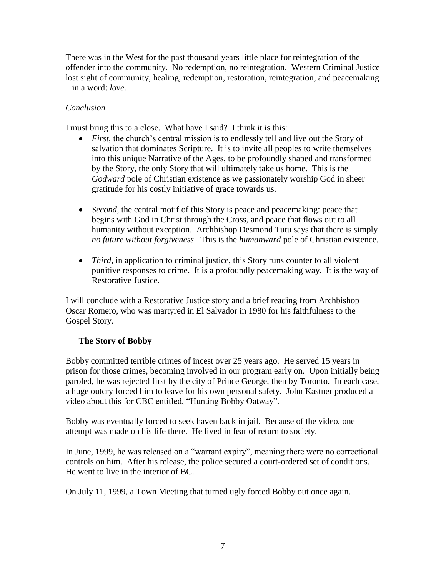There was in the West for the past thousand years little place for reintegration of the offender into the community. No redemption, no reintegration. Western Criminal Justice lost sight of community, healing, redemption, restoration, reintegration, and peacemaking – in a word: *love*.

# *Conclusion*

I must bring this to a close. What have I said? I think it is this:

- *First*, the church's central mission is to endlessly tell and live out the Story of salvation that dominates Scripture. It is to invite all peoples to write themselves into this unique Narrative of the Ages, to be profoundly shaped and transformed by the Story, the only Story that will ultimately take us home. This is the *Godward* pole of Christian existence as we passionately worship God in sheer gratitude for his costly initiative of grace towards us.
- *Second*, the central motif of this Story is peace and peacemaking: peace that begins with God in Christ through the Cross, and peace that flows out to all humanity without exception. Archbishop Desmond Tutu says that there is simply *no future without forgiveness*. This is the *humanward* pole of Christian existence.
- *Third*, in application to criminal justice, this Story runs counter to all violent punitive responses to crime. It is a profoundly peacemaking way. It is the way of Restorative Justice.

I will conclude with a Restorative Justice story and a brief reading from Archbishop Oscar Romero, who was martyred in El Salvador in 1980 for his faithfulness to the Gospel Story.

## **The Story of Bobby**

Bobby committed terrible crimes of incest over 25 years ago. He served 15 years in prison for those crimes, becoming involved in our program early on. Upon initially being paroled, he was rejected first by the city of Prince George, then by Toronto. In each case, a huge outcry forced him to leave for his own personal safety. John Kastner produced a video about this for CBC entitled, "Hunting Bobby Oatway".

Bobby was eventually forced to seek haven back in jail. Because of the video, one attempt was made on his life there. He lived in fear of return to society.

In June, 1999, he was released on a "warrant expiry", meaning there were no correctional controls on him. After his release, the police secured a court-ordered set of conditions. He went to live in the interior of BC.

On July 11, 1999, a Town Meeting that turned ugly forced Bobby out once again.